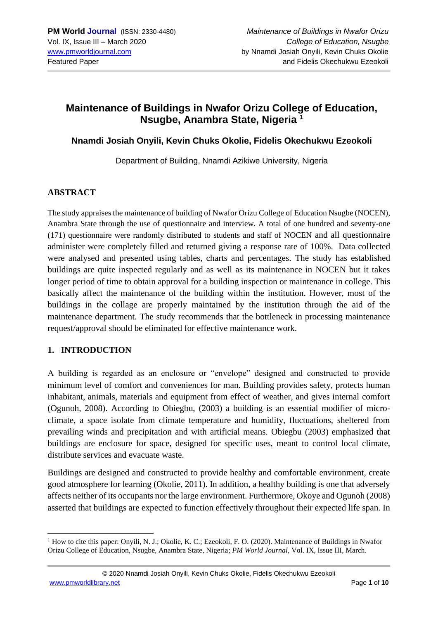## **Maintenance of Buildings in Nwafor Orizu College of Education, Nsugbe, Anambra State, Nigeria <sup>1</sup>**

### **Nnamdi Josiah Onyili, Kevin Chuks Okolie, Fidelis Okechukwu Ezeokoli**

Department of Building, Nnamdi Azikiwe University, Nigeria

#### **ABSTRACT**

The study appraises the maintenance of building of Nwafor Orizu College of Education Nsugbe (NOCEN), Anambra State through the use of questionnaire and interview. A total of one hundred and seventy-one (171) questionnaire were randomly distributed to students and staff of NOCEN and all questionnaire administer were completely filled and returned giving a response rate of 100%. Data collected were analysed and presented using tables, charts and percentages. The study has established buildings are quite inspected regularly and as well as its maintenance in NOCEN but it takes longer period of time to obtain approval for a building inspection or maintenance in college. This basically affect the maintenance of the building within the institution. However, most of the buildings in the collage are properly maintained by the institution through the aid of the maintenance department. The study recommends that the bottleneck in processing maintenance request/approval should be eliminated for effective maintenance work.

### **1. INTRODUCTION**

A building is regarded as an enclosure or "envelope" designed and constructed to provide minimum level of comfort and conveniences for man. Building provides safety, protects human inhabitant, animals, materials and equipment from effect of weather, and gives internal comfort (Ogunoh, 2008). According to Obiegbu, (2003) a building is an essential modifier of microclimate, a space isolate from climate temperature and humidity, fluctuations, sheltered from prevailing winds and precipitation and with artificial means. Obiegbu (2003) emphasized that buildings are enclosure for space, designed for specific uses, meant to control local climate, distribute services and evacuate waste.

Buildings are designed and constructed to provide healthy and comfortable environment, create good atmosphere for learning (Okolie, 2011). In addition, a healthy building is one that adversely affects neither of its occupants nor the large environment. Furthermore, Okoye and Ogunoh (2008) asserted that buildings are expected to function effectively throughout their expected life span. In

 $<sup>1</sup>$  How to cite this paper: Onyili, N. J.; Okolie, K. C.; Ezeokoli, F. O. (2020). Maintenance of Buildings in Nwafor</sup> Orizu College of Education, Nsugbe, Anambra State, Nigeria; *PM World Journal*, Vol. IX, Issue III, March.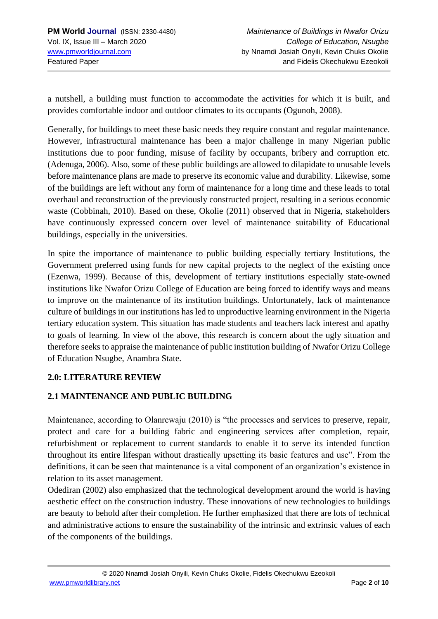a nutshell, a building must function to accommodate the activities for which it is built, and provides comfortable indoor and outdoor climates to its occupants (Ogunoh, 2008).

Generally, for buildings to meet these basic needs they require constant and regular maintenance. However, infrastructural maintenance has been a major challenge in many Nigerian public institutions due to poor funding, misuse of facility by occupants, bribery and corruption etc. (Adenuga, 2006). Also, some of these public buildings are allowed to dilapidate to unusable levels before maintenance plans are made to preserve its economic value and durability. Likewise, some of the buildings are left without any form of maintenance for a long time and these leads to total overhaul and reconstruction of the previously constructed project, resulting in a serious economic waste (Cobbinah, 2010). Based on these, Okolie (2011) observed that in Nigeria, stakeholders have continuously expressed concern over level of maintenance suitability of Educational buildings, especially in the universities.

In spite the importance of maintenance to public building especially tertiary Institutions, the Government preferred using funds for new capital projects to the neglect of the existing once (Ezenwa, 1999). Because of this, development of tertiary institutions especially state-owned institutions like Nwafor Orizu College of Education are being forced to identify ways and means to improve on the maintenance of its institution buildings. Unfortunately, lack of maintenance culture of buildings in our institutions has led to unproductive learning environment in the Nigeria tertiary education system. This situation has made students and teachers lack interest and apathy to goals of learning. In view of the above, this research is concern about the ugly situation and therefore seeks to appraise the maintenance of public institution building of Nwafor Orizu College of Education Nsugbe, Anambra State.

### **2.0: LITERATURE REVIEW**

## **2.1 MAINTENANCE AND PUBLIC BUILDING**

Maintenance, according to Olanrewaju (2010) is "the processes and services to preserve, repair, protect and care for a building fabric and engineering services after completion, repair, refurbishment or replacement to current standards to enable it to serve its intended function throughout its entire lifespan without drastically upsetting its basic features and use". From the definitions, it can be seen that maintenance is a vital component of an organization's existence in relation to its asset management.

Odediran (2002) also emphasized that the technological development around the world is having aesthetic effect on the construction industry. These innovations of new technologies to buildings are beauty to behold after their completion. He further emphasized that there are lots of technical and administrative actions to ensure the sustainability of the intrinsic and extrinsic values of each of the components of the buildings.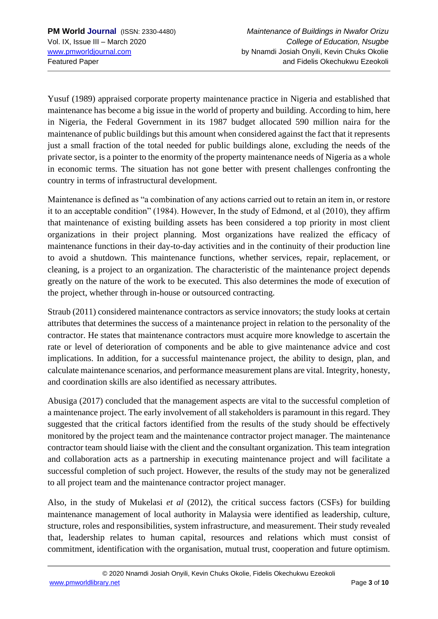Yusuf (1989) appraised corporate property maintenance practice in Nigeria and established that maintenance has become a big issue in the world of property and building. According to him, here in Nigeria, the Federal Government in its 1987 budget allocated 590 million naira for the maintenance of public buildings but this amount when considered against the fact that it represents just a small fraction of the total needed for public buildings alone, excluding the needs of the private sector, is a pointer to the enormity of the property maintenance needs of Nigeria as a whole in economic terms. The situation has not gone better with present challenges confronting the country in terms of infrastructural development.

Maintenance is defined as "a combination of any actions carried out to retain an item in, or restore it to an acceptable condition" (1984). However, In the study of Edmond, et al (2010), they affirm that maintenance of existing building assets has been considered a top priority in most client organizations in their project planning. Most organizations have realized the efficacy of maintenance functions in their day-to-day activities and in the continuity of their production line to avoid a shutdown. This maintenance functions, whether services, repair, replacement, or cleaning, is a project to an organization. The characteristic of the maintenance project depends greatly on the nature of the work to be executed. This also determines the mode of execution of the project, whether through in-house or outsourced contracting.

Straub (2011) considered maintenance contractors as service innovators; the study looks at certain attributes that determines the success of a maintenance project in relation to the personality of the contractor. He states that maintenance contractors must acquire more knowledge to ascertain the rate or level of deterioration of components and be able to give maintenance advice and cost implications. In addition, for a successful maintenance project, the ability to design, plan, and calculate maintenance scenarios, and performance measurement plans are vital. Integrity, honesty, and coordination skills are also identified as necessary attributes.

Abusiga (2017) concluded that the management aspects are vital to the successful completion of a maintenance project. The early involvement of all stakeholders is paramount in this regard. They suggested that the critical factors identified from the results of the study should be effectively monitored by the project team and the maintenance contractor project manager. The maintenance contractor team should liaise with the client and the consultant organization. This team integration and collaboration acts as a partnership in executing maintenance project and will facilitate a successful completion of such project. However, the results of the study may not be generalized to all project team and the maintenance contractor project manager.

Also, in the study of Mukelasi *et al* (2012), the critical success factors (CSFs) for building maintenance management of local authority in Malaysia were identified as leadership, culture, structure, roles and responsibilities, system infrastructure, and measurement. Their study revealed that, leadership relates to human capital, resources and relations which must consist of commitment, identification with the organisation, mutual trust, cooperation and future optimism.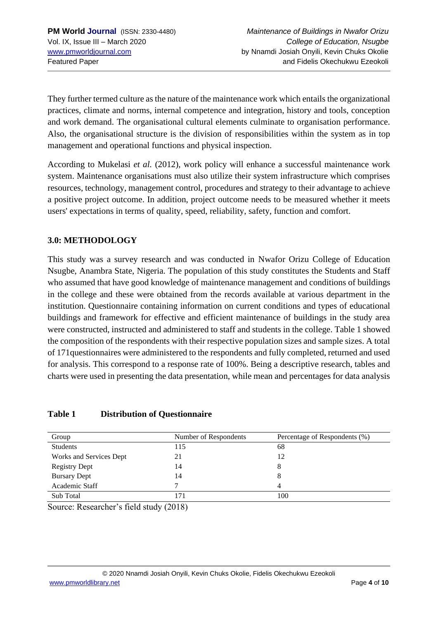They further termed culture as the nature of the maintenance work which entails the organizational practices, climate and norms, internal competence and integration, history and tools, conception and work demand. The organisational cultural elements culminate to organisation performance. Also, the organisational structure is the division of responsibilities within the system as in top management and operational functions and physical inspection.

According to Mukelasi *et al.* (2012), work policy will enhance a successful maintenance work system. Maintenance organisations must also utilize their system infrastructure which comprises resources, technology, management control, procedures and strategy to their advantage to achieve a positive project outcome. In addition, project outcome needs to be measured whether it meets users' expectations in terms of quality, speed, reliability, safety, function and comfort.

### **3.0: METHODOLOGY**

This study was a survey research and was conducted in Nwafor Orizu College of Education Nsugbe, Anambra State, Nigeria. The population of this study constitutes the Students and Staff who assumed that have good knowledge of maintenance management and conditions of buildings in the college and these were obtained from the records available at various department in the institution. Questionnaire containing information on current conditions and types of educational buildings and framework for effective and efficient maintenance of buildings in the study area were constructed, instructed and administered to staff and students in the college. Table 1 showed the composition of the respondents with their respective population sizes and sample sizes. A total of 171questionnaires were administered to the respondents and fully completed, returned and used for analysis. This correspond to a response rate of 100%. Being a descriptive research, tables and charts were used in presenting the data presentation, while mean and percentages for data analysis

### **Table 1 Distribution of Questionnaire**

| Group                   | Number of Respondents | Percentage of Respondents (%) |
|-------------------------|-----------------------|-------------------------------|
| <b>Students</b>         | 115                   | 68                            |
| Works and Services Dept | 21                    | 12                            |
| <b>Registry Dept</b>    | 14                    | 8                             |
| <b>Bursary Dept</b>     | 14                    | 8                             |
| Academic Staff          |                       | 4                             |
| Sub Total               | 17                    | 100                           |

Source: Researcher's field study (2018)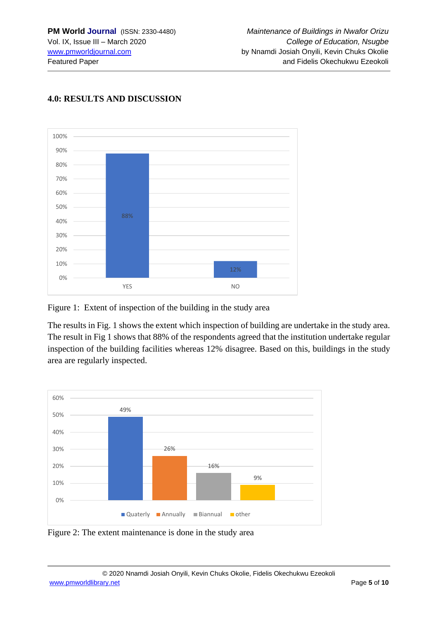

## **4.0: RESULTS AND DISCUSSION**

Figure 1: Extent of inspection of the building in the study area

The results in Fig. 1 shows the extent which inspection of building are undertake in the study area. The result in Fig 1 shows that 88% of the respondents agreed that the institution undertake regular inspection of the building facilities whereas 12% disagree. Based on this, buildings in the study area are regularly inspected.



Figure 2: The extent maintenance is done in the study area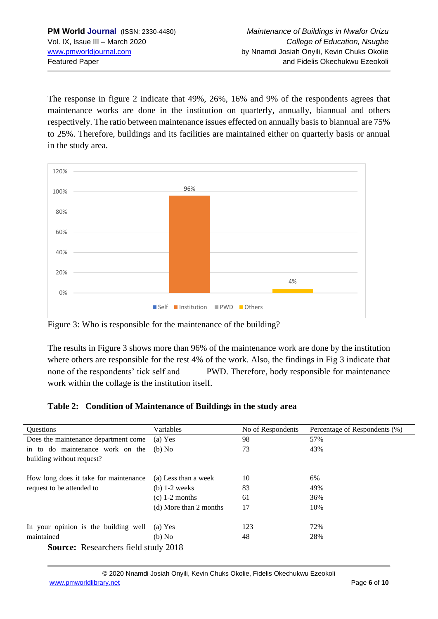The response in figure 2 indicate that 49%, 26%, 16% and 9% of the respondents agrees that maintenance works are done in the institution on quarterly, annually, biannual and others respectively. The ratio between maintenance issues effected on annually basis to biannual are 75% to 25%. Therefore, buildings and its facilities are maintained either on quarterly basis or annual in the study area.



Figure 3: Who is responsible for the maintenance of the building?

The results in Figure 3 shows more than 96% of the maintenance work are done by the institution where others are responsible for the rest 4% of the work. Also, the findings in Fig 3 indicate that none of the respondents' tick self and PWD. Therefore, body responsible for maintenance work within the collage is the institution itself.

## **Table 2: Condition of Maintenance of Buildings in the study area**

| <b>Ouestions</b>                            | Variables              | No of Respondents | Percentage of Respondents (%) |  |
|---------------------------------------------|------------------------|-------------------|-------------------------------|--|
| Does the maintenance department come        | $(a)$ Yes              | 98                | 57%                           |  |
| in to do maintenance work on the            | (b) No                 | 73                | 43%                           |  |
| building without request?                   |                        |                   |                               |  |
|                                             |                        |                   |                               |  |
| How long does it take for maintenance       | (a) Less than a week   | 10                | 6%                            |  |
| request to be attended to                   | $(b)$ 1-2 weeks        | 83                | 49%                           |  |
|                                             | $(c)$ 1-2 months       | 61                | 36%                           |  |
|                                             | (d) More than 2 months | 17                | 10%                           |  |
|                                             |                        |                   |                               |  |
| In your opinion is the building well        | $(a)$ Yes              | 123               | 72%                           |  |
| maintained                                  | (b) No                 | 48                | 28%                           |  |
| <b>Source:</b> Researchers field study 2018 |                        |                   |                               |  |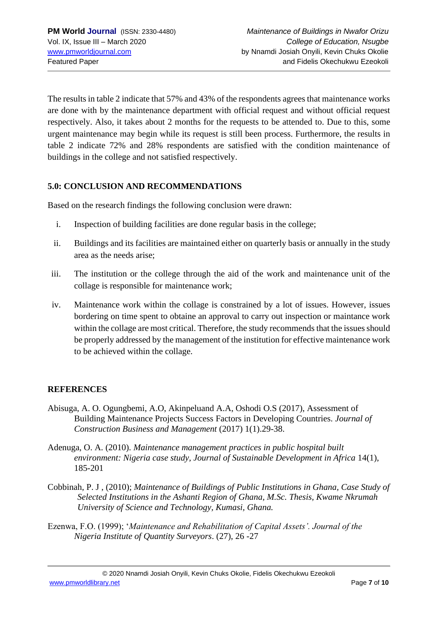The results in table 2 indicate that 57% and 43% of the respondents agrees that maintenance works are done with by the maintenance department with official request and without official request respectively. Also, it takes about 2 months for the requests to be attended to. Due to this, some urgent maintenance may begin while its request is still been process. Furthermore, the results in table 2 indicate 72% and 28% respondents are satisfied with the condition maintenance of buildings in the college and not satisfied respectively.

### **5.0: CONCLUSION AND RECOMMENDATIONS**

Based on the research findings the following conclusion were drawn:

- i. Inspection of building facilities are done regular basis in the college;
- ii. Buildings and its facilities are maintained either on quarterly basis or annually in the study area as the needs arise;
- iii. The institution or the college through the aid of the work and maintenance unit of the collage is responsible for maintenance work;
- iv. Maintenance work within the collage is constrained by a lot of issues. However, issues bordering on time spent to obtaine an approval to carry out inspection or maintance work within the collage are most critical. Therefore, the study recommends that the issues should be properly addressed by the management of the institution for effective maintenance work to be achieved within the collage.

### **REFERENCES**

- Abisuga, A. O. Ogungbemi, A.O, Akinpeluand A.A, Oshodi O.S (2017), Assessment of Building Maintenance Projects Success Factors in Developing Countries. *Journal of Construction Business and Management* (2017) 1(1).29-38.
- Adenuga, O. A. (2010). *Maintenance management practices in public hospital built environment: Nigeria case study, Journal of Sustainable Development in Africa* 14(1), 185-201
- Cobbinah, P. J , (2010); *Maintenance of Buildings of Public Institutions in Ghana, Case Study of Selected Institutions in the Ashanti Region of Ghana, M.Sc. Thesis, Kwame Nkrumah University of Science and Technology, Kumasi, Ghana.*
- Ezenwa, F.O. (1999); '*Maintenance and Rehabilitation of Capital Assets'. Journal of the Nigeria Institute of Quantity Surveyors*. (27), 26 -27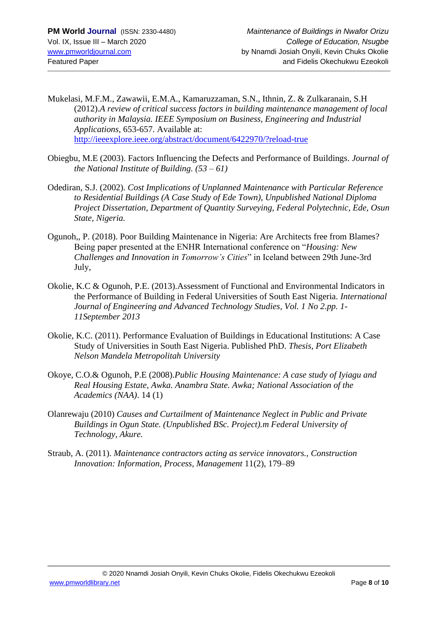- Mukelasi, M.F.M., Zawawii, E.M.A., Kamaruzzaman, S.N., Ithnin, Z. & Zulkaranain, S.H (2012).*A review of critical success factors in building maintenance management of local authority in Malaysia. IEEE Symposium on Business, Engineering and Industrial Applications,* 653-657. Available at: <http://ieeexplore.ieee.org/abstract/document/6422970/?reload-true>
- Obiegbu, M.E (2003). Factors Influencing the Defects and Performance of Buildings. *Journal of the National Institute of Building. (53 – 61)*
- Odediran, S.J. (2002). *Cost Implications of Unplanned Maintenance with Particular Reference to Residential Buildings (A Case Study of Ede Town), Unpublished National Diploma Project Dissertation, Department of Quantity Surveying, Federal Polytechnic, Ede, Osun State, Nigeria.*
- Ogunoh,, P. (2018). Poor Building Maintenance in Nigeria: Are Architects free from Blames? Being paper presented at the ENHR International conference on "*Housing: New Challenges and Innovation in Tomorrow's Cities*" in Iceland between 29th June-3rd July,
- Okolie, K.C & Ogunoh, P.E. (2013).Assessment of Functional and Environmental Indicators in the Performance of Building in Federal Universities of South East Nigeria. *International Journal of Engineering and Advanced Technology Studies, Vol. 1 No 2.pp. 1- 11September 2013*
- Okolie, K.C. (2011). Performance Evaluation of Buildings in Educational Institutions: A Case Study of Universities in South East Nigeria. Published PhD. *Thesis, Port Elizabeth Nelson Mandela Metropolitah University*
- Okoye, C.O.& Ogunoh, P.E (2008).*Public Housing Maintenance: A case study of Iyiagu and Real Housing Estate, Awka. Anambra State. Awka; National Association of the Academics (NAA)*. 14 (1)
- Olanrewaju (2010) *Causes and Curtailment of Maintenance Neglect in Public and Private Buildings in Ogun State. (Unpublished BSc. Project).m Federal University of Technology, Akure.*
- Straub, A. (2011). *Maintenance contractors acting as service innovators., Construction Innovation: Information, Process, Management* 11(2), 179–89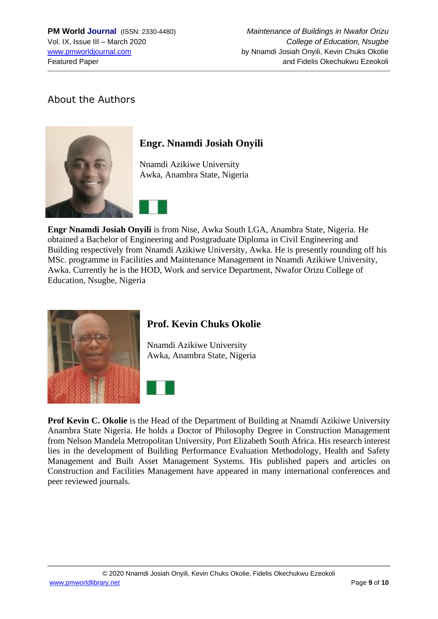## About the Authors



# **Engr. Nnamdi Josiah Onyili**

Nnamdi Azikiwe University Awka, Anambra State, Nigeria



**Engr Nnamdi Josiah Onyili** is from Nise, Awka South LGA, Anambra State, Nigeria. He obtained a Bachelor of Engineering and Postgraduate Diploma in Civil Engineering and Building respectively from Nnamdi Azikiwe University, Awka. He is presently rounding off his MSc. programme in Facilities and Maintenance Management in Nnamdi Azikiwe University, Awka. Currently he is the HOD, Work and service Department, Nwafor Orizu College of Education, Nsugbe, Nigeria



## **Prof. Kevin Chuks Okolie**

Nnamdi Azikiwe University Awka, Anambra State, Nigeria



**Prof Kevin C. Okolie** is the Head of the Department of Building at Nnamdi Azikiwe University Anambra State Nigeria. He holds a Doctor of Philosophy Degree in Construction Management from Nelson Mandela Metropolitan University, Port Elizabeth South Africa. His research interest lies in the development of Building Performance Evaluation Methodology, Health and Safety Management and Built Asset Management Systems. His published papers and articles on Construction and Facilities Management have appeared in many international conferences and peer reviewed journals.